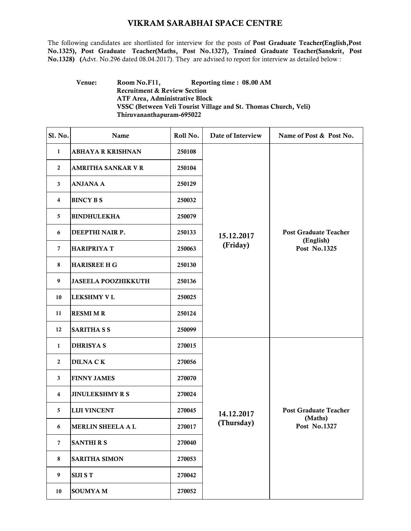## VIKRAM SARABHAI SPACE CENTRE

The following candidates are shortlisted for interview for the posts of Post Graduate Teacher(English,Post No.1325), Post Graduate Teacher(Maths, Post No.1327), Trained Graduate Teacher(Sanskrit, Post No.1328) (Advt. No.296 dated 08.04.2017). They are advised to report for interview as detailed below :

## Venue: Room No.F11, Reporting time : 08.00 AM Recruitment & Review Section ATF Area, Administrative Block VSSC (Between Veli Tourist Village and St. Thomas Church, Veli) Thiruvananthapuram-695022

| Sl. No.          | Name                       | Roll No. | Date of Interview        | Name of Post & Post No.                                   |
|------------------|----------------------------|----------|--------------------------|-----------------------------------------------------------|
| 1                | <b>ABHAYA R KRISHNAN</b>   | 250108   | 15.12.2017<br>(Friday)   | <b>Post Graduate Teacher</b><br>(English)<br>Post No.1325 |
| $\mathbf{2}$     | <b>AMRITHA SANKAR V R</b>  | 250104   |                          |                                                           |
| 3                | <b>ANJANA A</b>            | 250129   |                          |                                                           |
| 4                | <b>BINCY B S</b>           | 250032   |                          |                                                           |
| 5                | <b>BINDHULEKHA</b>         | 250079   |                          |                                                           |
| 6                | DEEPTHI NAIR P.            | 250133   |                          |                                                           |
| $\overline{7}$   | <b>HARIPRIYA T</b>         | 250063   |                          |                                                           |
| 8                | <b>HARISREE H G</b>        | 250130   |                          |                                                           |
| 9                | <b>JASEELA POOZHIKKUTH</b> | 250136   |                          |                                                           |
| 10               | <b>LEKSHMY V L</b>         | 250025   |                          |                                                           |
| 11               | <b>RESMI M R</b>           | 250124   |                          |                                                           |
| 12               | <b>SARITHA S S</b>         | 250099   |                          |                                                           |
| 1                | <b>DHRISYA S</b>           | 270015   | 14.12.2017<br>(Thursday) | <b>Post Graduate Teacher</b><br>(Maths)<br>Post No.1327   |
| $\boldsymbol{2}$ | <b>DILNA CK</b>            | 270056   |                          |                                                           |
| 3                | <b>FINNY JAMES</b>         | 270070   |                          |                                                           |
| 4                | <b>JINULEKSHMY R S</b>     | 270024   |                          |                                                           |
| 5                | <b>LIJI VINCENT</b>        | 270045   |                          |                                                           |
| 6                | <b>MERLIN SHEELA A L</b>   | 270017   |                          |                                                           |
| $\overline{7}$   | <b>SANTHIRS</b>            | 270040   |                          |                                                           |
| 8                | <b>SARITHA SIMON</b>       | 270053   |                          |                                                           |
| 9                | <b>SIJI S T</b>            | 270042   |                          |                                                           |
| 10               | <b>SOUMYAM</b>             | 270052   |                          |                                                           |